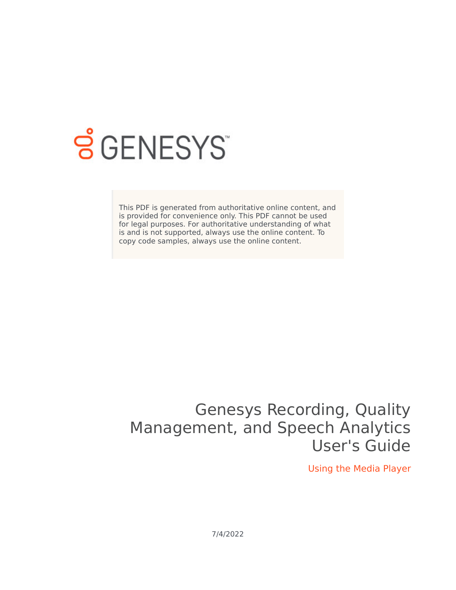

# **SGENESYS**

This PDF is generated from authoritative online content, and is provided for convenience only. This PDF cannot be used for legal purposes. For authoritative understanding of what is and is not supported, always use the online content. To copy code samples, always use the online content.

## Genesys Recording, Quality Management, and Speech Analytics User's Guide

Using the Media Player

7/4/2022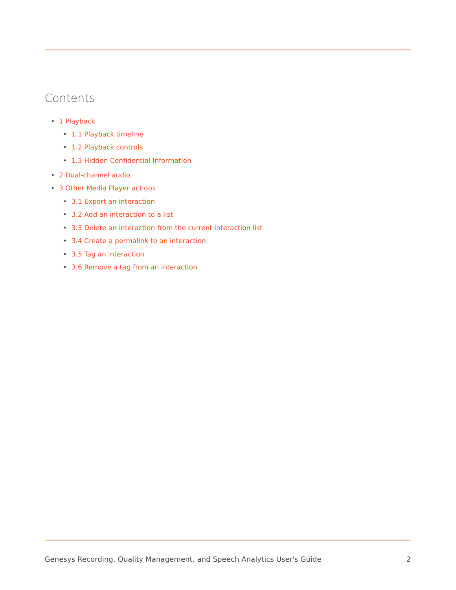## Contents

#### • 1 [Playback](#page-3-0)

- 1.1 [Playback timeline](#page-3-1)
- 1.2 [Playback controls](#page-4-0)
- 1.3 [Hidden Confidential Information](#page-6-0)
- 2 [Dual-channel audio](#page-7-0)
- 3 [Other Media Player actions](#page-7-1)
	- 3.1 [Export an interaction](#page-8-0)
	- 3.2 [Add an interaction to a list](#page-8-1)
	- 3.3 [Delete an interaction from the current interaction list](#page-8-2)
	- 3.4 [Create a permalink to an interaction](#page-9-0)
	- 3.5 [Tag an interaction](#page-9-1)
	- 3.6 [Remove a tag from an interaction](#page-9-2)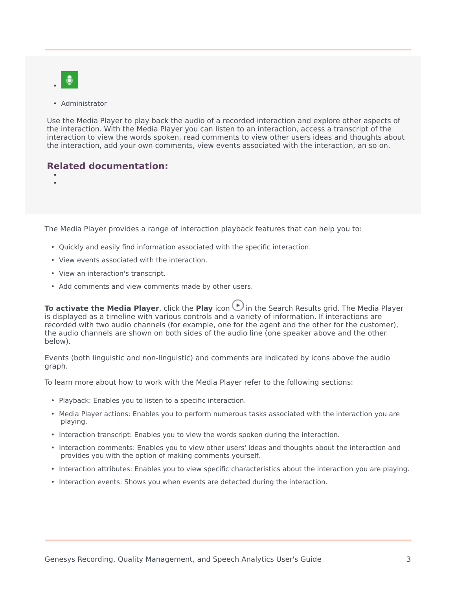

• Administrator

Use the Media Player to play back the audio of a recorded interaction and explore other aspects of the interaction. With the Media Player you can listen to an interaction, access a transcript of the interaction to view the words spoken, read comments to view other users ideas and thoughts about the interaction, add your own comments, view events associated with the interaction, an so on.

#### **Related documentation:**

• •

The Media Player provides a range of interaction playback features that can help you to:

- Quickly and easily find information associated with the specific interaction.
- View events associated with the interaction.
- View an interaction's transcript.
- Add comments and view comments made by other users.

**To activate the Media Player**, click the **Play** icon **b** in the Search Results grid. The Media Player is displayed as a timeline with various controls and a variety of information. If interactions are recorded with two audio channels (for example, one for the agent and the other for the customer), the audio channels are shown on both sides of the audio line (one speaker above and the other below).

Events (both linguistic and non-linguistic) and comments are indicated by icons above the audio graph.

To learn more about how to work with the Media Player refer to the following sections:

- Playback: Enables you to listen to a specific interaction.
- Media Player actions: Enables you to perform numerous tasks associated with the interaction you are playing.
- Interaction transcript: Enables you to view the words spoken during the interaction.
- Interaction comments: Enables you to view other users' ideas and thoughts about the interaction and provides you with the option of making comments yourself.
- Interaction attributes: Enables you to view specific characteristics about the interaction you are playing.
- Interaction events: Shows you when events are detected during the interaction.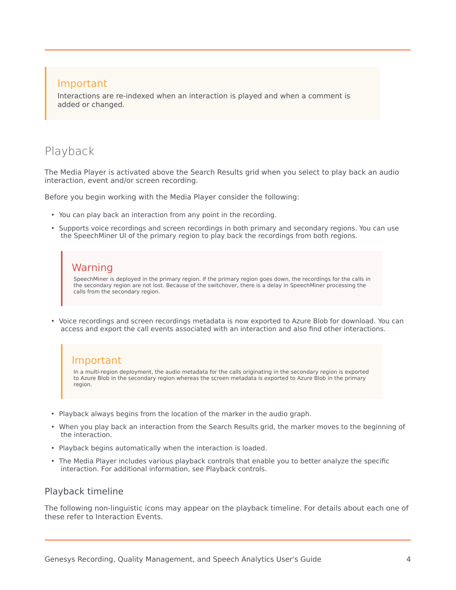#### Important

Interactions are re-indexed when an interaction is played and when a comment is added or changed.

## <span id="page-3-0"></span>Playback

The Media Player is activated above the Search Results grid when you select to play back an audio interaction, event and/or screen recording.

Before you begin working with the Media Player consider the following:

- You can play back an interaction from any point in the recording.
- Supports voice recordings and screen recordings in both primary and secondary regions. You can use the SpeechMiner UI of the primary region to play back the recordings from both regions.

### Warning

SpeechMiner is deployed in the primary region. If the primary region goes down, the recordings for the calls in the secondary region are not lost. Because of the switchover, there is a delay in SpeechMiner processing the calls from the secondary region.

• Voice recordings and screen recordings metadata is now exported to Azure Blob for download. You can access and export the call events associated with an interaction and also find other interactions.

#### Important

In a multi-region deployment, the audio metadata for the calls originating in the secondary region is exported to Azure Blob in the secondary region whereas the screen metadata is exported to Azure Blob in the primary region.

- Playback always begins from the location of the marker in the audio graph.
- When you play back an interaction from the Search Results grid, the marker moves to the beginning of the interaction.
- Playback begins automatically when the interaction is loaded.
- The Media Player includes various playback controls that enable you to better analyze the specific interaction. For additional information, see Playback controls.

#### <span id="page-3-1"></span>Playback timeline

The following non-linguistic icons may appear on the playback timeline. For details about each one of these refer to Interaction Events.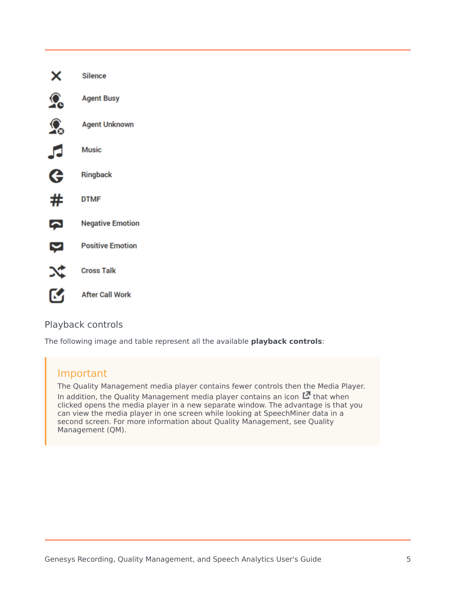| $\times$                                        | <b>Silence</b>          |
|-------------------------------------------------|-------------------------|
| $\Omega_{\rm e}$                                | <b>Agent Busy</b>       |
| $\Omega_{\!\scriptscriptstyle (\!\varsigma\!)}$ | <b>Agent Unknown</b>    |
| ᇅ                                               | <b>Music</b>            |
| G                                               | Ringback                |
| #                                               | <b>DTMF</b>             |
| Ģ                                               | <b>Negative Emotion</b> |
| پ                                               | <b>Positive Emotion</b> |
| $\propto$                                       | <b>Cross Talk</b>       |
| ☑                                               | <b>After Call Work</b>  |

#### <span id="page-4-0"></span>Playback controls

The following image and table represent all the available **playback controls**:

#### Important

The Quality Management media player contains fewer controls then the Media Player. In addition, the Quality Management media player contains an icon  $\blacksquare$  that when clicked opens the media player in a new separate window. The advantage is that you can view the media player in one screen while looking at SpeechMiner data in a second screen. For more information about Quality Management, see Quality Management (QM).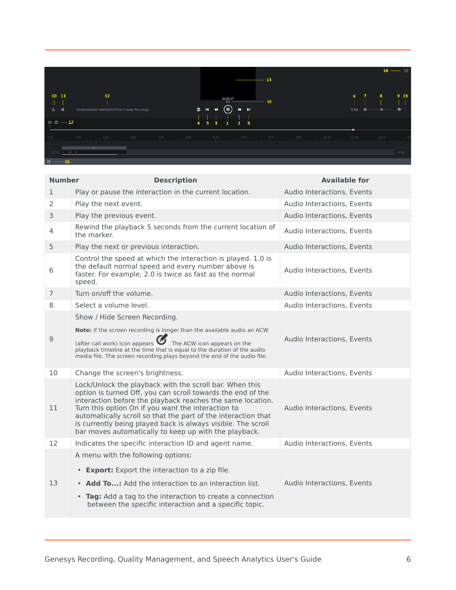

| <b>Number</b>  | <b>Description</b>                                                                                                                                                                                                                                                                                                                                                                                                                   | <b>Available for</b>       |
|----------------|--------------------------------------------------------------------------------------------------------------------------------------------------------------------------------------------------------------------------------------------------------------------------------------------------------------------------------------------------------------------------------------------------------------------------------------|----------------------------|
| $\mathbf{1}$   | Play or pause the interaction in the current location.                                                                                                                                                                                                                                                                                                                                                                               | Audio Interactions, Events |
| 2              | Play the next event.                                                                                                                                                                                                                                                                                                                                                                                                                 | Audio Interactions, Events |
| 3              | Play the previous event.                                                                                                                                                                                                                                                                                                                                                                                                             | Audio Interactions, Events |
| 4              | Rewind the playback 5 seconds from the current location of<br>the marker.                                                                                                                                                                                                                                                                                                                                                            | Audio Interactions, Events |
| 5              | Play the next or previous interaction.                                                                                                                                                                                                                                                                                                                                                                                               | Audio Interactions, Events |
| 6              | Control the speed at which the interaction is played. 1.0 is<br>the default normal speed and every number above is<br>faster. For example, 2.0 is twice as fast as the normal<br>speed.                                                                                                                                                                                                                                              | Audio Interactions, Events |
| $\overline{7}$ | Turn on/off the volume.                                                                                                                                                                                                                                                                                                                                                                                                              | Audio Interactions, Events |
| 8              | Select a volume level.                                                                                                                                                                                                                                                                                                                                                                                                               | Audio Interactions, Events |
|                | Show / Hide Screen Recording.                                                                                                                                                                                                                                                                                                                                                                                                        |                            |
| 9              | Note: If the screen recording is longer than the available audio an ACW<br>(after call work) icon appears <b>the ACW</b> icon appears on the<br>playback timeline at the time that is equal to the duration of the audio<br>media file. The screen recording plays beyond the end of the audio file.                                                                                                                                 | Audio Interactions, Events |
| 10             | Change the screen's brightness.                                                                                                                                                                                                                                                                                                                                                                                                      | Audio Interactions, Events |
| 11             | Lock/Unlock the playback with the scroll bar. When this<br>option is turned Off, you can scroll towards the end of the<br>interaction before the playback reaches the same location.<br>Turn this option On if you want the interaction to<br>automatically scroll so that the part of the interaction that<br>is currently being played back is always visible. The scroll<br>bar moves automatically to keep up with the playback. | Audio Interactions, Events |
| 12             | Indicates the specific interaction ID and agent name.                                                                                                                                                                                                                                                                                                                                                                                | Audio Interactions, Events |
|                | A menu with the following options:<br>• Export: Export the interaction to a zip file.                                                                                                                                                                                                                                                                                                                                                |                            |
| 13             | • Add To: Add the interaction to an interaction list.                                                                                                                                                                                                                                                                                                                                                                                | Audio Interactions, Events |
|                | • Tag: Add a tag to the interaction to create a connection<br>between the specific interaction and a specific topic.                                                                                                                                                                                                                                                                                                                 |                            |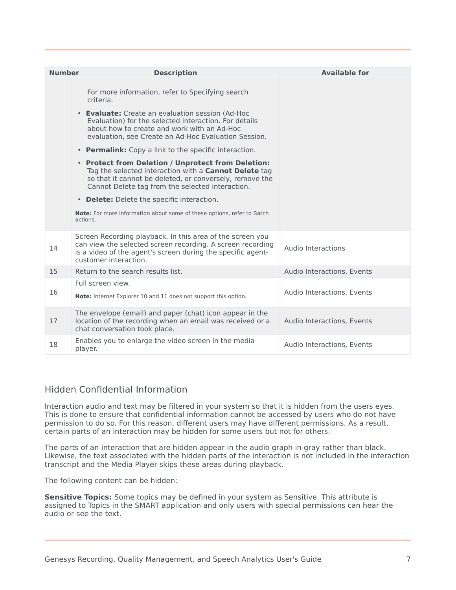| <b>Number</b> | <b>Description</b>                                                                                                                                                                                                         | <b>Available for</b>       |
|---------------|----------------------------------------------------------------------------------------------------------------------------------------------------------------------------------------------------------------------------|----------------------------|
|               | For more information, refer to Specifying search<br>criteria.                                                                                                                                                              |                            |
|               | • Evaluate: Create an evaluation session (Ad-Hoc<br>Evaluation) for the selected interaction. For details<br>about how to create and work with an Ad-Hoc<br>evaluation, see Create an Ad-Hoc Evaluation Session.           |                            |
|               | • Permalink: Copy a link to the specific interaction.                                                                                                                                                                      |                            |
|               | • Protect from Deletion / Unprotect from Deletion:<br>Tag the selected interaction with a Cannot Delete tag<br>so that it cannot be deleted, or conversely, remove the<br>Cannot Delete tag from the selected interaction. |                            |
|               | • <b>Delete:</b> Delete the specific interaction.                                                                                                                                                                          |                            |
|               | Note: For more information about some of these options, refer to Batch<br>actions.                                                                                                                                         |                            |
| 14            | Screen Recording playback. In this area of the screen you<br>can view the selected screen recording. A screen recording<br>is a video of the agent's screen during the specific agent-<br>customer interaction.            | Audio Interactions         |
| 15            | Return to the search results list.                                                                                                                                                                                         | Audio Interactions, Events |
|               | Full screen view.                                                                                                                                                                                                          |                            |
| 16            | Note: Internet Explorer 10 and 11 does not support this option.                                                                                                                                                            | Audio Interactions, Events |
| 17            | The envelope (email) and paper (chat) icon appear in the<br>location of the recording when an email was received or a<br>chat conversation took place.                                                                     | Audio Interactions, Events |
| 18            | Enables you to enlarge the video screen in the media<br>player.                                                                                                                                                            | Audio Interactions, Events |

#### <span id="page-6-0"></span>Hidden Confidential Information

Interaction audio and text may be filtered in your system so that it is hidden from the users eyes. This is done to ensure that confidential information cannot be accessed by users who do not have permission to do so. For this reason, different users may have different permissions. As a result, certain parts of an interaction may be hidden for some users but not for others.

The parts of an interaction that are hidden appear in the audio graph in gray rather than black. Likewise, the text associated with the hidden parts of the interaction is not included in the interaction transcript and the Media Player skips these areas during playback.

The following content can be hidden:

**Sensitive Topics:** Some topics may be defined in your system as Sensitive. This attribute is assigned to Topics in the SMART application and only users with special permissions can hear the audio or see the text.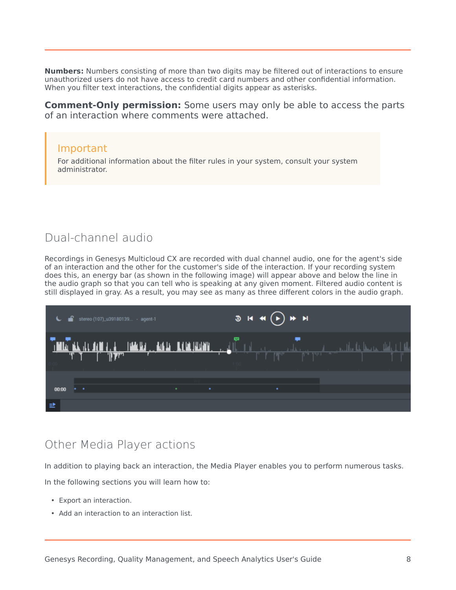**Numbers:** Numbers consisting of more than two digits may be filtered out of interactions to ensure unauthorized users do not have access to credit card numbers and other confidential information. When you filter text interactions, the confidential digits appear as asterisks.

**Comment-Only permission:** Some users may only be able to access the parts of an interaction where comments were attached.



## <span id="page-7-0"></span>Dual-channel audio

Recordings in Genesys Multicloud CX are recorded with dual channel audio, one for the agent's side of an interaction and the other for the customer's side of the interaction. If your recording system does this, an energy bar (as shown in the following image) will appear above and below the line in the audio graph so that you can tell who is speaking at any given moment. Filtered audio content is still displayed in gray. As a result, you may see as many as three different colors in the audio graph.



## <span id="page-7-1"></span>Other Media Player actions

In addition to playing back an interaction, the Media Player enables you to perform numerous tasks.

In the following sections you will learn how to:

- Export an interaction.
- Add an interaction to an interaction list.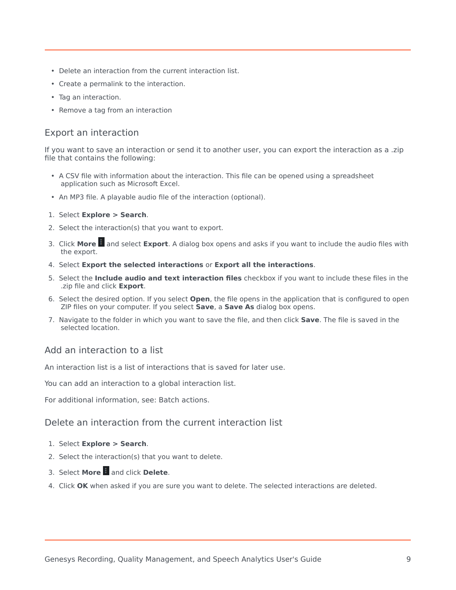- Delete an interaction from the current interaction list.
- Create a permalink to the interaction.
- Tag an interaction.
- Remove a tag from an interaction

#### <span id="page-8-0"></span>Export an interaction

If you want to save an interaction or send it to another user, you can export the interaction as a .zip file that contains the following:

- A CSV file with information about the interaction. This file can be opened using a spreadsheet application such as Microsoft Excel.
- An MP3 file. A playable audio file of the interaction (optional).

#### 1. Select **Explore > Search**.

- 2. Select the interaction(s) that you want to export.
- 3. Click **More** and select **Export**. A dialog box opens and asks if you want to include the audio files with the export.
- 4. Select **Export the selected interactions** or **Export all the interactions**.
- 5. Select the **Include audio and text interaction files** checkbox if you want to include these files in the .zip file and click **Export**.
- 6. Select the desired option. If you select **Open**, the file opens in the application that is configured to open ZIP files on your computer. If you select **Save**, a **Save As** dialog box opens.
- 7. Navigate to the folder in which you want to save the file, and then click **Save**. The file is saved in the selected location.

#### <span id="page-8-1"></span>Add an interaction to a list

An interaction list is a list of interactions that is saved for later use.

You can add an interaction to a global interaction list.

For additional information, see: Batch actions.

#### <span id="page-8-2"></span>Delete an interaction from the current interaction list

- 1. Select **Explore > Search**.
- 2. Select the interaction(s) that you want to delete.
- 3. Select **More** and click **Delete**.
- 4. Click **OK** when asked if you are sure you want to delete. The selected interactions are deleted.